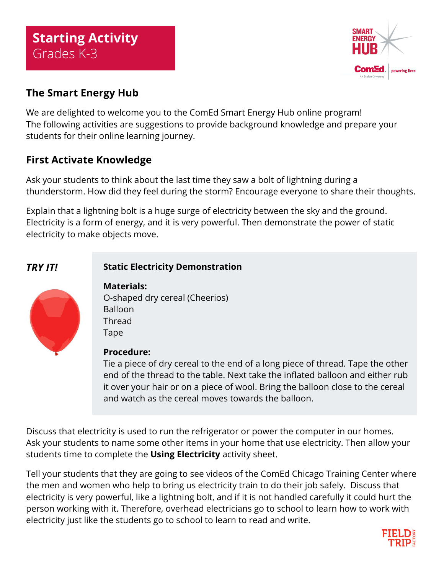

## **The Smart Energy Hub**

We are delighted to welcome you to the ComEd Smart Energy Hub online program! The following activities are suggestions to provide background knowledge and prepare your students for their online learning journey.

# **First Activate Knowledge**

Ask your students to think about the last time they saw a bolt of lightning during a thunderstorm. How did they feel during the storm? Encourage everyone to share their thoughts.

Explain that a lightning bolt is a huge surge of electricity between the sky and the ground. Electricity is a form of energy, and it is very powerful. Then demonstrate the power of static electricity to make objects move.



## *TRY IT!* **Static Electricity Demonstration**

**Materials:** O-shaped dry cereal (Cheerios) Balloon **Thread** Tape

### **Procedure:**

Tie a piece of dry cereal to the end of a long piece of thread. Tape the other end of the thread to the table. Next take the inflated balloon and either rub it over your hair or on a piece of wool. Bring the balloon close to the cereal and watch as the cereal moves towards the balloon.

Discuss that electricity is used to run the refrigerator or power the computer in our homes. Ask your students to name some other items in your home that use electricity. Then allow your students time to complete the **Using Electricity** activity sheet.

Tell your students that they are going to see videos of the ComEd Chicago Training Center where the men and women who help to bring us electricity train to do their job safely. Discuss that electricity is very powerful, like a lightning bolt, and if it is not handled carefully it could hurt the person working with it. Therefore, overhead electricians go to school to learn how to work with electricity just like the students go to school to learn to read and write.

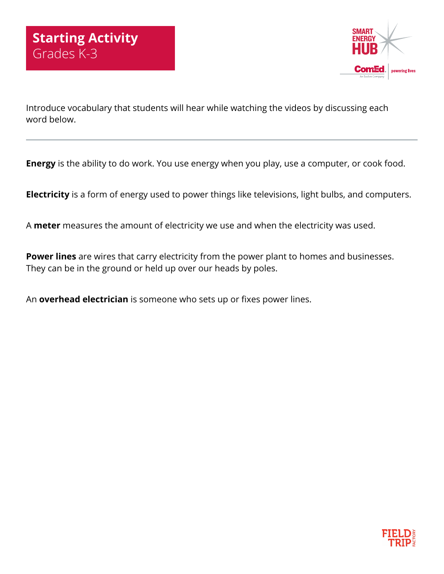

Introduce vocabulary that students will hear while watching the videos by discussing each word below.

**Energy** is the ability to do work. You use energy when you play, use a computer, or cook food.

**Electricity** is a form of energy used to power things like televisions, light bulbs, and computers.

A **meter** measures the amount of electricity we use and when the electricity was used.

**Power lines** are wires that carry electricity from the power plant to homes and businesses. They can be in the ground or held up over our heads by poles.

An **overhead electrician** is someone who sets up or fixes power lines.